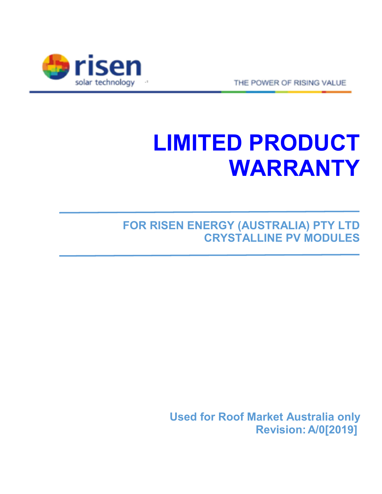

THE POWER OF RISING VALUE

# **LIMITED PRODUCT WARRANTY**

**FOR RISEN ENERGY (AUSTRALIA) PTY LTD CRYSTALLINE PV MODULES**

> **Used for Roof Market Australia only Revision: A/0[2019]**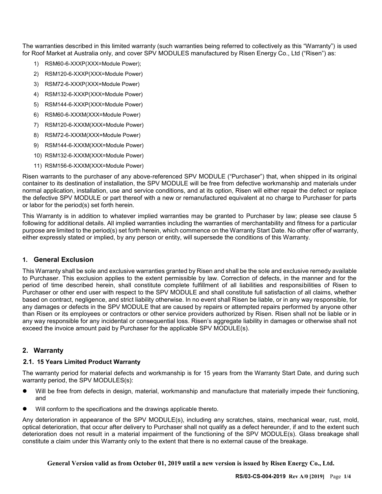The warranties described in this limited warranty (such warranties being referred to collectively as this "Warranty") is used for Roof Market at Australia only, and cover SPV MODULES manufactured by Risen Energy Co., Ltd ("Risen") as:

- RSM60-6-XXXP(XXX=Module Power);
- 2) RSM120-6-XXXP(XXX=Module Power)
- 3) RSM72-6-XXXP(XXX=Module Power)
- 4) RSM132-6-XXXP(XXX=Module Power)
- 5) RSM144-6-XXXP(XXX=Module Power)
- 6) RSM60-6-XXXM(XXX=Module Power)
- 7) RSM120-6-XXXM(XXX=Module Power)
- 8) RSM72-6-XXXM(XXX=Module Power)
- 9) RSM144-6-XXXM(XXX=Module Power)
- 10) RSM132-6-XXXM(XXX=Module Power)
- 11) RSM156-6-XXXM(XXX=Module Power)

Risen warrants to the purchaser of any above-referenced SPV MODULE ("Purchaser") that, when shipped in its original container to its destination of installation, the SPV MODULE will be free from defective workmanship and materials under normal application, installation, use and service conditions, and at its option, Risen will either repair the defect or replace the defective SPV MODULE or part thereof with a new or remanufactured equivalent at no charge to Purchaser for parts or labor for the period(s) set forth herein.

This Warranty is in addition to whatever implied warranties may be granted to Purchaser by law; please see clause 5 following for additional details. All implied warranties including the warranties of merchantability and fitness for a particular purpose are limited to the period(s) set forth herein, which commence on the Warranty Start Date. No other offer of warranty, either expressly stated or implied, by any person or entity, will supersede the conditions of this Warranty.

## **1. General Exclusion**

This Warranty shall be sole and exclusive warranties granted by Risen and shall be the sole and exclusive remedy available to Purchaser. This exclusion applies to the extent permissible by law. Correction of defects, in the manner and for the period of time described herein, shall constitute complete fulfillment of all liabilities and responsibilities of Risen to Purchaser or other end user with respect to the SPV MODULE and shall constitute full satisfaction of all claims, whether based on contract, negligence, and strict liability otherwise. In no event shall Risen be liable, or in any way responsible, for any damages or defects in the SPV MODULE that are caused by repairs or attempted repairs performed by anyone other than Risen or its employees or contractors or other service providers authorized by Risen. Risen shall not be liable or in any way responsible for any incidental or consequential loss. Risen's aggregate liability in damages or otherwise shall not exceed the invoice amount paid by Purchaser for the applicable SPV MODULE(s).

## **2. Warranty**

#### **2.1. 15 Years Limited Product Warranty**

The warranty period for material defects and workmanship is for 15 years from the Warranty Start Date, and during such warranty period, the SPV MODULES(s):

- Will be free from defects in design, material, workmanship and manufacture that materially impede their functioning, and
- Will conform to the specifications and the drawings applicable thereto.

Any deterioration in appearance of the SPV MODULE(s), including any scratches, stains, mechanical wear, rust, mold, optical deterioration, that occur after delivery to Purchaser shall not qualify as a defect hereunder, if and to the extent such deterioration does not result in a material impairment of the functioning of the SPV MODULE(s). Glass breakage shall constitute a claim under this Warranty only to the extent that there is no external cause of the breakage.

**General Version valid as from October 01, 2019 until a new version is issued by Risen Energy Co., Ltd.**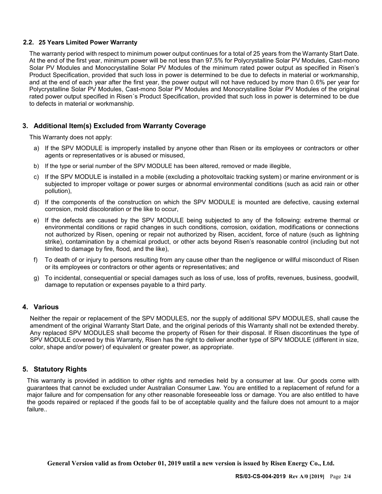## **2.2. 25 Years Limited Power Warranty**

The warranty period with respect to minimum power output continues for a total of 25 years from the Warranty Start Date. At the end of the first year, minimum power will be not less than 97.5% for Polycrystalline Solar PV Modules, Cast-mono Solar PV Modules and Monocrystalline Solar PV Modules of the minimum rated power output as specified in Risen's Product Specification, provided that such loss in power is determined to be due to defects in material or workmanship, and at the end of each year after the first year, the power output will not have reduced by more than 0.6% per year for Polycrystalline Solar PV Modules, Cast-mono Solar PV Modules and Monocrystalline Solar PV Modules of the original rated power output specified in Risen´s Product Specification, provided that such loss in power is determined to be due to defects in material or workmanship.

# **3. Additional Item(s) Excluded from Warranty Coverage**

This Warranty does not apply:

- a) If the SPV MODULE is improperly installed by anyone other than Risen or its employees or contractors or other agents or representatives or is abused or misused,
- b) If the type or serial number of the SPV MODULE has been altered, removed or made illegible,
- c) If the SPV MODULE is installed in a mobile (excluding a photovoltaic tracking system) or marine environment or is subjected to improper voltage or power surges or abnormal environmental conditions (such as acid rain or other pollution),
- d) If the components of the construction on which the SPV MODULE is mounted are defective, causing external corrosion, mold discoloration or the like to occur,
- e) If the defects are caused by the SPV MODULE being subjected to any of the following: extreme thermal or environmental conditions or rapid changes in such conditions, corrosion, oxidation, modifications or connections not authorized by Risen, opening or repair not authorized by Risen, accident, force of nature (such as lightning strike), contamination by a chemical product, or other acts beyond Risen's reasonable control (including but not limited to damage by fire, flood, and the like),
- f) To death of or injury to persons resulting from any cause other than the negligence or willful misconduct of Risen or its employees or contractors or other agents or representatives; and
- g) To incidental, consequential or special damages such as loss of use, loss of profits, revenues, business, goodwill, damage to reputation or expenses payable to a third party.

## **4. Various**

Neither the repair or replacement of the SPV MODULES, nor the supply of additional SPV MODULES, shall cause the amendment of the original Warranty Start Date, and the original periods of this Warranty shall not be extended thereby. Any replaced SPV MODULES shall become the property of Risen for their disposal. If Risen discontinues the type of SPV MODULE covered by this Warranty, Risen has the right to deliver another type of SPV MODULE (different in size, color, shape and/or power) of equivalent or greater power, as appropriate.

## **5. Statutory Rights**

This warranty is provided in addition to other rights and remedies held by a consumer at law. Our goods come with guarantees that cannot be excluded under Australian Consumer Law. You are entitled to a replacement of refund for a major failure and for compensation for any other reasonable foreseeable loss or damage. You are also entitled to have the goods repaired or replaced if the goods fail to be of acceptable quality and the failure does not amount to a major failure..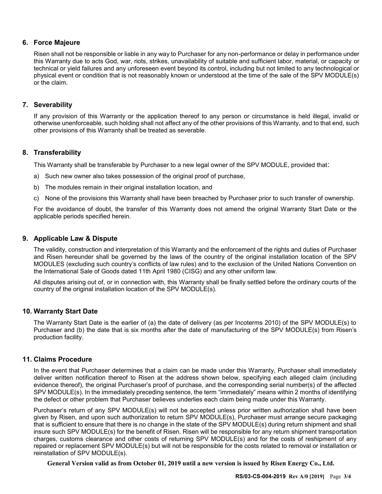# **6. Force Majeure**

Risen shall not be responsible or liable in any way to Purchaser for any non-performance or delay in performance under this Warranty due to acts God, war, riots, strikes, unavailability of suitable and sufficient labor, material, or capacity or technical or yield failures and any unforeseen event beyond its control, including but not limited to any technological or physical event or condition that is not reasonably known or understood at the time of the sale of the SPV MODULE(s) or the claim.

# **7. Severability**

If any provision of this Warranty or the application thereof to any person or circumstance is held illegal, invalid or otherwise unenforceable, such holding shall not affect any of the other provisions of this Warranty, and to that end, such other provisions of this Warranty shall be treated as severable.

# **8. Transferability**

This Warranty shall be transferable by Purchaser to a new legal owner of the SPV MODULE, provided that:

- a) Such new owner also takes possession of the original proof of purchase,
- b) The modules remain in their original installation location, and
- c) None of the provisions this Warranty shall have been breached by Purchaser prior to such transfer of ownership.

For the avoidance of doubt, the transfer of this Warranty does not amend the original Warranty Start Date or the applicable periods specified herein.

# **9. Applicable Law & Dispute**

The validity, construction and interpretation of this Warranty and the enforcement of the rights and duties of Purchaser and Risen hereunder shall be governed by the laws of the country of the original installation location of the SPV MODULES (excluding such country's conflicts of law rules) and to the exclusion of the United Nations Convention on the International Sale of Goods dated 11th April 1980 (CISG) and any other uniform law.

All disputes arising out of, or in connection with, this Warranty shall be finally settled before the ordinary courts of the country of the original installation location of the SPV MODULE(s).

## **10. Warranty Start Date**

The Warranty Start Date is the earlier of (a) the date of delivery (as per Incoterms 2010) of the SPV MODULE(s) to Purchaser and (b) the date that is six months after the date of manufacturing of the SPV MODULE(s) from Risen's production facility.

## **11. Claims Procedure**

In the event that Purchaser determines that a claim can be made under this Warranty, Purchaser shall immediately deliver written notification thereof to Risen at the address shown below, specifying each alleged claim (including evidence thereof), the original Purchaser's proof of purchase, and the corresponding serial number(s) of the affected SPV MODULE(s). In the immediately preceding sentence, the term "immediately" means within 2 months of identifying the defect or other problem that Purchaser believes underlies each claim being made under this Warranty.

Purchaser's return of any SPV MODULE(s) will not be accepted unless prior written authorization shall have been given by Risen, and upon such authorization to return SPV MODULE(s), Purchaser must arrange secure packaging that is sufficient to ensure that there is no change in the state of the SPV MODULE(s) during return shipment and shall insure such SPV MODULE(s) for the benefit of Risen. Risen will be responsible for any return shipment transportation charges, customs clearance and other costs of returning SPV MODULE(s) and for the costs of reshipment of any repaired or replacement SPV MODULE(s) but will not be responsible for the costs related to removal or installation or reinstallation of SPV MODULE(s).

**General Version valid as from October 01, 2019 until a new version is issued by Risen Energy Co., Ltd.**